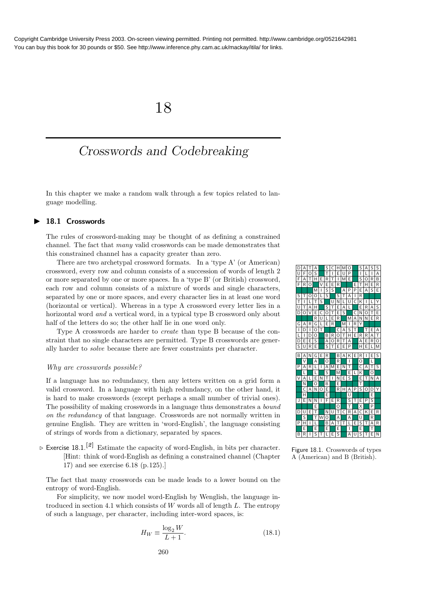Copyright Cambridge University Press 2003. On-screen viewing permitted. Printing not permitted. http://www.cambridge.org/0521642981 You can buy this book for 30 pounds or \$50. See http://www.inference.phy.cam.ac.uk/mackay/itila/ for links.

# 18

## Crosswords and Codebreaking

In this chapter we make a random walk through a few topics related to language modelling.

## 18.1 Crosswords

The rules of crossword-making may be thought of as defining a constrained channel. The fact that many valid crosswords can be made demonstrates that this constrained channel has a capacity greater than zero.

There are two archetypal crossword formats. In a 'type A' (or American) crossword, every row and column consists of a succession of words of length 2 or more separated by one or more spaces. In a 'type B' (or British) crossword, each row and column consists of a mixture of words and single characters, separated by one or more spaces, and every character lies in at least one word (horizontal or vertical). Whereas in a type A crossword every letter lies in a horizontal word and a vertical word, in a typical type B crossword only about half of the letters do so; the other half lie in one word only.

Type A crosswords are harder to create than type B because of the constraint that no single characters are permitted. Type B crosswords are generally harder to solve because there are fewer constraints per character.

## Why are crosswords possible?

If a language has no redundancy, then any letters written on a grid form a valid crossword. In a language with high redundancy, on the other hand, it is hard to make crosswords (except perhaps a small number of trivial ones). The possibility of making crosswords in a language thus demonstrates a bound on the redundancy of that language. Crosswords are not normally written in genuine English. They are written in 'word-English', the language consisting of strings of words from a dictionary, separated by spaces.

 $\triangleright$  Exercise 18.1.<sup>[2]</sup> Estimate the capacity of word-English, in bits per character. [Hint: think of word-English as defining a constrained channel (Chapter 17) and see exercise 6.18 (p.125).]

The fact that many crosswords can be made leads to a lower bound on the entropy of word-English.

For simplicity, we now model word-English by Wenglish, the language introduced in section 4.1 which consists of  $W$  words all of length  $L$ . The entropy of such a language, per character, including inter-word spaces, is:

$$
H_W \equiv \frac{\log_2 W}{L+1}.\tag{18.1}
$$



Figure 18.1. Crosswords of types A (American) and B (British).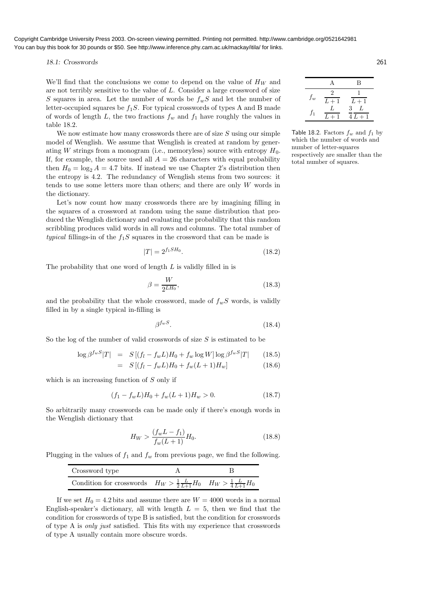Copyright Cambridge University Press 2003. On-screen viewing permitted. Printing not permitted. http://www.cambridge.org/0521642981 You can buy this book for 30 pounds or \$50. See http://www.inference.phy.cam.ac.uk/mackay/itila/ for links.

18.1: Crosswords 261

We'll find that the conclusions we come to depend on the value of  $H_W$  and are not terribly sensitive to the value of L. Consider a large crossword of size S squares in area. Let the number of words be  $f_wS$  and let the number of letter-occupied squares be  $f_1S$ . For typical crosswords of types A and B made of words of length L, the two fractions  $f_w$  and  $f_1$  have roughly the values in table 18.2.

We now estimate how many crosswords there are of size  $S$  using our simple model of Wenglish. We assume that Wenglish is created at random by generating W strings from a monogram (i.e., memoryless) source with entropy  $H_0$ . If, for example, the source used all  $A = 26$  characters with equal probability then  $H_0 = \log_2 A = 4.7$  bits. If instead we use Chapter 2's distribution then the entropy is 4.2. The redundancy of Wenglish stems from two sources: it tends to use some letters more than others; and there are only W words in the dictionary.

Let's now count how many crosswords there are by imagining filling in the squares of a crossword at random using the same distribution that produced the Wenglish dictionary and evaluating the probability that this random scribbling produces valid words in all rows and columns. The total number of typical fillings-in of the  $f_1S$  squares in the crossword that can be made is

$$
|T| = 2^{f_1 S H_0}.\t(18.2)
$$

The probability that one word of length  $L$  is validly filled in is

$$
\beta = \frac{W}{2^{LH_0}},\tag{18.3}
$$

and the probability that the whole crossword, made of  $f_wS$  words, is validly filled in by a single typical in-filling is

$$
\beta^{f_w S}.\tag{18.4}
$$

So the log of the number of valid crosswords of size  $S$  is estimated to be

$$
\log \beta^{f_w S} |T| = S [(f_l - f_w L) H_0 + f_w \log W] \log \beta^{f_w S} |T| \qquad (18.5)
$$

$$
= S [(f_l - f_w L)H_0 + f_w (L+1)H_w]
$$
\n(18.6)

which is an increasing function of S only if

 $f_{\rm{max}}$ 

$$
(f_1 - f_w L)H_0 + f_w (L+1)H_w > 0.
$$
\n(18.7)

So arbitrarily many crosswords can be made only if there's enough words in the Wenglish dictionary that

$$
H_W > \frac{(f_w L - f_1)}{f_w (L + 1)} H_0.
$$
\n(18.8)

Plugging in the values of  $f_1$  and  $f_w$  from previous page, we find the following.

| Crossword type                                                                                       |  |
|------------------------------------------------------------------------------------------------------|--|
| Condition for crosswords $H_W > \frac{1}{2} \frac{L}{L+1} H_0$ $H_W > \frac{1}{4} \frac{L}{L+1} H_0$ |  |

If we set  $H_0 = 4.2$  bits and assume there are  $W = 4000$  words in a normal English-speaker's dictionary, all with length  $L = 5$ , then we find that the condition for crosswords of type B is satisfied, but the condition for crosswords of type A is only just satisfied. This fits with my experience that crosswords of type A usually contain more obscure words.

|       |            | R               |
|-------|------------|-----------------|
| $f_w$ |            |                 |
| $f_1$ | $L+1$<br>L | $L+1$<br>3<br>L |
|       | $L+1$      | $4L+1$          |

Table 18.2. Factors  $f_w$  and  $f_1$  by which the number of words and number of letter-squares respectively are smaller than the total number of squares.